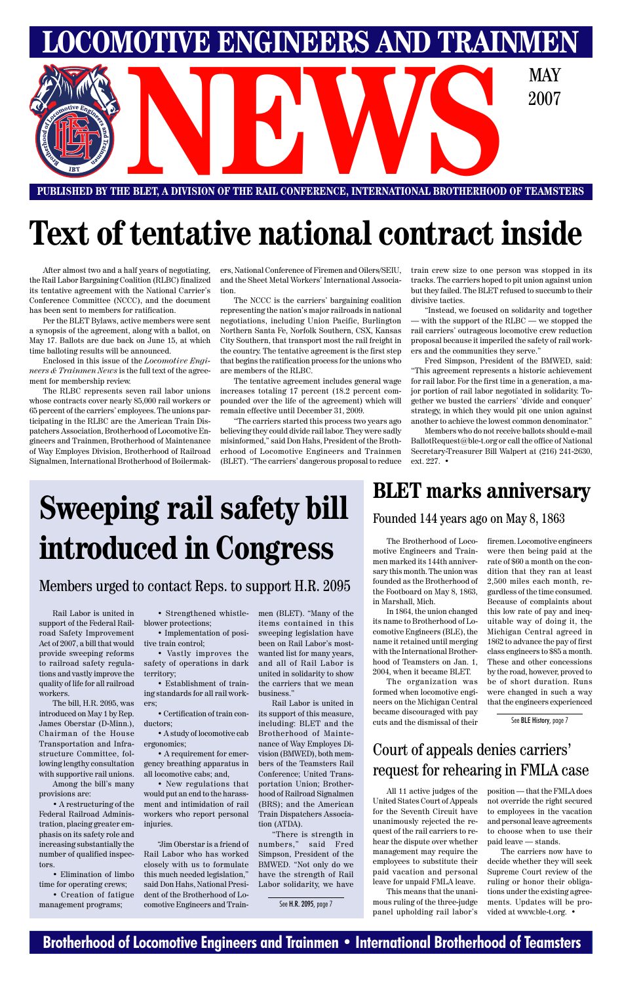### **Brotherhood of Locomotive Engineers and Trainmen • International Brotherhood of Teamsters**



# **Text of tentative national contract inside**

After almost two and a half years of negotiating, the Rail Labor Bargaining Coalition (RLBC) finalized its tentative agreement with the National Carrier's Conference Committee (NCCC), and the document has been sent to members for ratification.

Per the BLET Bylaws, active members were sent a synopsis of the agreement, along with a ballot, on May 17. Ballots are due back on June 15, at which time balloting results will be announced.

Enclosed in this issue of the *Locomotive Engineers & Trainmen News* is the full text of the agreement for membership review.

The RLBC represents seven rail labor unions whose contracts cover nearly 85,000 rail workers or 65 percent of the carriers' employees. The unions participating in the RLBC are the American Train Dispatchers Association, Brotherhood of Locomotive Engineers and Trainmen, Brotherhood of Maintenance of Way Employes Division, Brotherhood of Railroad Signalmen, International Brotherhood of Boilermak-

ers, National Conference of Firemen and Oilers/SEIU, and the Sheet Metal Workers' International Association.

The NCCC is the carriers' bargaining coalition representing the nation's major railroads in national negotiations, including Union Pacific, Burlington Northern Santa Fe, Norfolk Southern, CSX, Kansas City Southern, that transport most the rail freight in the country. The tentative agreement is the first step that begins the ratification process for the unions who are members of the RLBC.

The tentative agreement includes general wage increases totaling 17 percent (18.2 percent compounded over the life of the agreement) which will remain effective until December 31, 2009.

"The carriers started this process two years ago believing they could divide rail labor. They were sadly misinformed," said Don Hahs, President of the Brotherhood of Locomotive Engineers and Trainmen (BLET). "The carriers' dangerous proposal to reduce train crew size to one person was stopped in its tracks. The carriers hoped to pit union against union but they failed. The BLET refused to succumb to their divisive tactics.

"Instead, we focused on solidarity and together — with the support of the RLBC — we stopped the rail carriers' outrageous locomotive crew reduction proposal because it imperiled the safety of rail workers and the communities they serve."

Fred Simpson, President of the BMWED, said: "This agreement represents a historic achievement for rail labor. For the first time in a generation, a major portion of rail labor negotiated in solidarity. Together we busted the carriers' 'divide and conquer' strategy, in which they would pit one union against another to achieve the lowest common denominator."

Members who do not receive ballots should e-mail BallotRequest@ble-t.org or call the office of National Secretary-Treasurer Bill Walpert at (216) 241-2630, ext. 227. •

Rail Labor is united in support of the Federal Railroad Safety Improvement Act of 2007, a bill that would provide sweeping reforms to railroad safety regulations and vastly improve the quality of life for all railroad workers.

The bill, H.R. 2095, was introduced on May 1 by Rep. James Oberstar (D-Minn.), Chairman of the House Transportation and Infrastructure Committee, following lengthy consultation with supportive rail unions.

Among the bill's many provisions are:

• A restructuring of the Federal Railroad Administration, placing greater emphasis on its safety role and increasing substantially the number of qualified inspectors.

• Elimination of limbo time for operating crews;

• Creation of fatigue management programs;

• Strengthened whistleblower protections;

• Implementation of positive train control;

• Vastly improves the safety of operations in dark territory;

• Establishment of training standards for all rail workers;

• Certification of train conductors;

> • A study of locomotive cab ergonomics;

> • A requirement for emergency breathing apparatus in all locomotive cabs; and,

• New regulations that would put an end to the harassment and intimidation of rail workers who report personal injuries.

"Jim Oberstar is a friend of Rail Labor who has worked closely with us to formulate this much needed legislation," said Don Hahs, National President of the Brotherhood of Locomotive Engineers and Trainmen (BLET). "Many of the items contained in this sweeping legislation have been on Rail Labor's mostwanted list for many years, and all of Rail Labor is united in solidarity to show the carriers that we mean business."

Rail Labor is united in its support of this measure,

including: BLET and the Brotherhood of Maintenance of Way Employes Division (BMWED), both members of the Teamsters Rail Conference; United Transportation Union; Brotherhood of Railroad Signalmen (BRS); and the American Train Dispatchers Association (ATDA).

"There is strength in numbers," said Fred Simpson, President of the BMWED. "Not only do we have the strength of Rail Labor solidarity, we have

# **Sweeping rail safety bill introduced in Congress**

### Members urged to contact Reps. to support H.R. 2095

See H.R. 2095, page 7

All 11 active judges of the United States Court of Appeals for the Seventh Circuit have unanimously rejected the request of the rail carriers to rehear the dispute over whether management may require the employees to substitute their paid vacation and personal leave for unpaid FMLA leave.

This means that the unanimous ruling of the three-judge panel upholding rail labor's

position — that the FMLA does not override the right secured to employees in the vacation and personal leave agreements to choose when to use their paid leave — stands.

The carriers now have to decide whether they will seek Supreme Court review of the ruling or honor their obligations under the existing agreements. Updates will be provided at www.ble-t.org. •

### Court of appeals denies carriers' request for rehearing in FMLA case

## **BLET marks anniversary**

Founded 144 years ago on May 8, 1863

The Brotherhood of Locomotive Engineers and Trainmen marked its 144th anniversary this month. The union was founded as the Brotherhood of the Footboard on May 8, 1863, in Marshall, Mich.

In 1864, the union changed its name to Brotherhood of Locomotive Engineers (BLE), the name it retained until merging with the International Brotherhood of Teamsters on Jan. 1, 2004, when it became BLET.

The organization was formed when locomotive engineers on the Michigan Central became discouraged with pay cuts and the dismissal of their firemen. Locomotive engineers were then being paid at the rate of \$60 a month on the condition that they ran at least 2,500 miles each month, regardless of the time consumed. Because of complaints about this low rate of pay and inequitable way of doing it, the Michigan Central agreed in 1862 to advance the pay of first class engineers to \$85 a month. These and other concessions by the road, however, proved to be of short duration. Runs were changed in such a way that the engineers experienced

See BLE History, page 7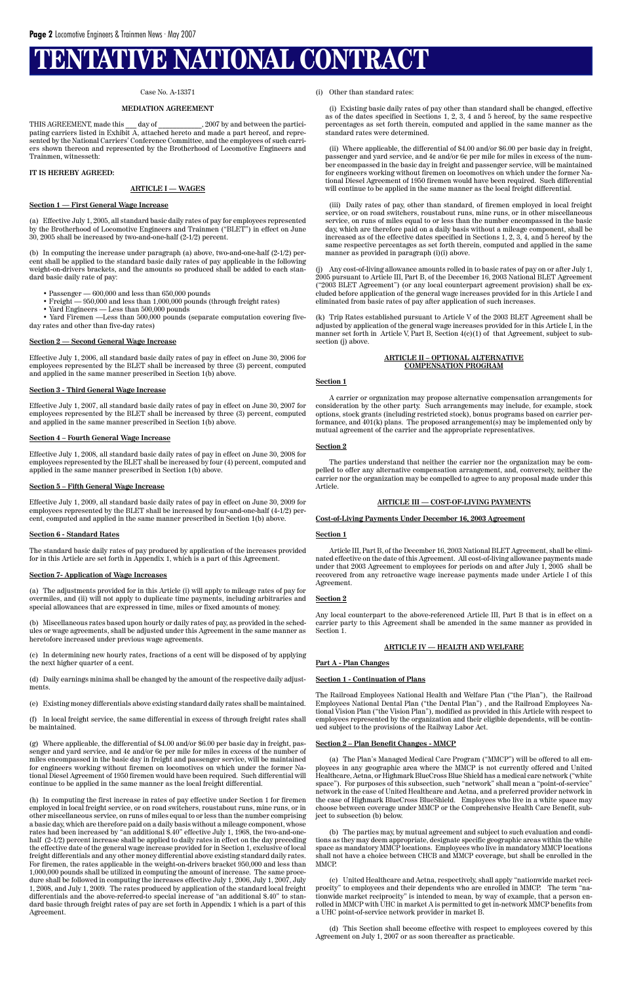# **TENTATIVE NATIONAL CONTRACT**

#### Case No. A-13371

#### **MEDIATION AGREEMENT**

THIS AGREEMENT, made this \_\_\_ day of \_\_\_\_\_\_\_\_\_\_\_\_, 2007 by and between the participating carriers listed in Exhibit A, attached hereto and made a part hereof, and represented by the National Carriers' Conference Committee, and the employees of such carriers shown thereon and represented by the Brotherhood of Locomotive Engineers and Trainmen, witnesseth:

#### **IT IS HEREBY AGREED:**

#### **ARTICLE I — WAGES**

#### **Section 1 — First General Wage Increase**

- $\bullet$  Passenger  $600,\!000$  and less than  $650,\!000$  pounds
- Freight 950,000 and less than 1,000,000 pounds (through freight rates)
- Yard Engineers Less than 500,000 pounds

(a) Effective July 1, 2005, all standard basic daily rates of pay for employees represented by the Brotherhood of Locomotive Engineers and Trainmen ("BLET") in effect on June 30, 2005 shall be increased by two-and-one-half (2-1/2) percent.

(b) In computing the increase under paragraph (a) above, two-and-one-half (2-1/2) percent shall be applied to the standard basic daily rates of pay applicable in the following weight-on-drivers brackets, and the amounts so produced shall be added to each standard basic daily rate of pay:

• Yard Firemen —Less than 500,000 pounds (separate computation covering fiveday rates and other than five-day rates)

#### **Section 2 — Second General Wage Increase**

Effective July 1, 2006, all standard basic daily rates of pay in effect on June 30, 2006 for employees represented by the BLET shall be increased by three (3) percent, computed and applied in the same manner prescribed in Section 1(b) above.

#### **Section 3 - Third General Wage Increase**

Effective July 1, 2007, all standard basic daily rates of pay in effect on June 30, 2007 for employees represented by the BLET shall be increased by three (3) percent, computed and applied in the same manner prescribed in Section 1(b) above.

#### **Section 4 – Fourth General Wage Increase**

Effective July 1, 2008, all standard basic daily rates of pay in effect on June 30, 2008 for employees represented by the BLET shall be increased by four (4) percent, computed and applied in the same manner prescribed in Section 1(b) above.

#### **Section 5 – Fifth General Wage Increase**

Effective July 1, 2009, all standard basic daily rates of pay in effect on June 30, 2009 for employees represented by the BLET shall be increased by four-and-one-half (4-1/2) percent, computed and applied in the same manner prescribed in Section 1(b) above.

#### **Section 6 - Standard Rates**

The standard basic daily rates of pay produced by application of the increases provided for in this Article are set forth in Appendix 1, which is a part of this Agreement.

#### **Section 7- Application of Wage Increases**

(a) The adjustments provided for in this Article (i) will apply to mileage rates of pay for overmiles, and (ii) will not apply to duplicate time payments, including arbitraries and special allowances that are expressed in time, miles or fixed amounts of money.

(b) Miscellaneous rates based upon hourly or daily rates of pay, as provided in the schedules or wage agreements, shall be adjusted under this Agreement in the same manner as heretofore increased under previous wage agreements.

(c) In determining new hourly rates, fractions of a cent will be disposed of by applying the next higher quarter of a cent.

(d) Daily earnings minima shall be changed by the amount of the respective daily adjustments.

(e) Existing money differentials above existing standard daily rates shall be maintained.

(f) In local freight service, the same differential in excess of through freight rates shall

Any cost-of-living allowance amounts rolled in to basic rates of pay on or after July 1, 2005 pursuant to Article III, Part B, of the December 16, 2003 National BLET Agreement ("2003 BLET Agreement") (or any local counterpart agreement provision) shall be excluded before application of the general wage increases provided for in this Article I and eliminated from basic rates of pay after application of such increases.

be maintained.

(g) Where applicable, the differential of \$4.00 and/or \$6.00 per basic day in freight, passenger and yard service, and 4¢ and/or 6¢ per mile for miles in excess of the number of miles encompassed in the basic day in freight and passenger service, will be maintained for engineers working without firemen on locomotives on which under the former National Diesel Agreement of 1950 firemen would have been required. Such differential will continue to be applied in the same manner as the local freight differential.

(h) In computing the first increase in rates of pay effective under Section 1 for firemen employed in local freight service, or on road switchers, roustabout runs, mine runs, or in other miscellaneous service, on runs of miles equal to or less than the number comprising a basic day, which are therefore paid on a daily basis without a mileage component, whose rates had been increased by "an additional \$.40" effective July 1, 1968, the two-and-onehalf (2-1/2) percent increase shall be applied to daily rates in effect on the day preceding the effective date of the general wage increase provided for in Section 1, exclusive of local freight differentials and any other money differential above existing standard daily rates. For firemen, the rates applicable in the weight-on-drivers bracket 950,000 and less than 1,000,000 pounds shall be utilized in computing the amount of increase. The same procedure shall be followed in computing the increases effective July 1, 2006, July 1, 2007, July 1, 2008, and July 1, 2009. The rates produced by application of the standard local freight differentials and the above-referred-to special increase of "an additional \$.40" to standard basic through freight rates of pay are set forth in Appendix 1 which is a part of this Agreement.

(i) Other than standard rates:

(i) Existing basic daily rates of pay other than standard shall be changed, effective as of the dates specified in Sections 1, 2, 3, 4 and 5 hereof, by the same respective percentages as set forth therein, computed and applied in the same manner as the standard rates were determined.

(ii) Where applicable, the differential of \$4.00 and/or \$6.00 per basic day in freight, passenger and yard service, and 4¢ and/or 6¢ per mile for miles in excess of the number encompassed in the basic day in freight and passenger service, will be maintained for engineers working without firemen on locomotives on which under the former National Diesel Agreement of 1950 firemen would have been required. Such differential will continue to be applied in the same manner as the local freight differential.

(iii) Daily rates of pay, other than standard, of firemen employed in local freight service, or on road switchers, roustabout runs, mine runs, or in other miscellaneous service, on runs of miles equal to or less than the number encompassed in the basic day, which are therefore paid on a daily basis without a mileage component, shall be increased as of the effective dates specified in Sections 1, 2, 3, 4, and 5 hereof by the same respective percentages as set forth therein, computed and applied in the same manner as provided in paragraph (i)(i) above.

(k) Trip Rates established pursuant to Article V of the 2003 BLET Agreement shall be adjusted by application of the general wage increases provided for in this Article I, in the manner set forth in Article V, Part B, Section 4(c)(1) of that Agreement, subject to subsection (j) above.

#### **ARTICLE II – OPTIONAL ALTERNATIVE COMPENSATION PROGRAM**

#### **Section 1**

A carrier or organization may propose alternative compensation arrangements for consideration by the other party. Such arrangements may include, for example, stock options, stock grants (including restricted stock), bonus programs based on carrier performance, and  $401(k)$  plans. The proposed arrangement(s) may be implemented only by mutual agreement of the carrier and the appropriate representatives.

#### **Section 2**

The parties understand that neither the carrier nor the organization may be compelled to offer any alternative compensation arrangement, and, conversely, neither the carrier nor the organization may be compelled to agree to any proposal made under this Article.

#### **ARTICLE III — COST-OF-LIVING PAYMENTS**

#### **Cost-of-Living Payments Under December 16, 2003 Agreement**

#### **Section 1**

Article III, Part B, of the December 16, 2003 National BLET Agreement, shall be eliminated effective on the date of this Agreement. All cost-of-living allowance payments made under that 2003 Agreement to employees for periods on and after July 1, 2005 shall be recovered from any retroactive wage increase payments made under Article I of this Agreement.

#### **Section 2**

Any local counterpart to the above-referenced Article III, Part B that is in effect on a carrier party to this Agreement shall be amended in the same manner as provided in Section 1.

#### **ARTICLE IV — HEALTH AND WELFARE**

#### **Part A - Plan Changes**

#### **Section 1 - Continuation of Plans**

The Railroad Employees National Health and Welfare Plan ("the Plan"), the Railroad Employees National Dental Plan ("the Dental Plan") , and the Railroad Employees National Vision Plan ("the Vision Plan"), modified as provided in this Article with respect to employees represented by the organization and their eligible dependents, will be contin-

ued subject to the provisions of the Railway Labor Act.

#### **Section 2 – Plan Benefit Changes - MMCP**

(a) The Plan's Managed Medical Care Program ("MMCP") will be offered to all employees in any geographic area where the MMCP is not currently offered and United Healthcare, Aetna, or Highmark BlueCross Blue Shield has a medical care network ("white space"). For purposes of this subsection, such "network" shall mean a "point-of-service" network in the case of United Healthcare and Aetna, and a preferred provider network in the case of Highmark BlueCross BlueShield. Employees who live in a white space may choose between coverage under MMCP or the Comprehensive Health Care Benefit, subject to subsection (b) below.

(b) The parties may, by mutual agreement and subject to such evaluation and conditions as they may deem appropriate, designate specific geographic areas within the white space as mandatory MMCP locations. Employees who live in mandatory MMCP locations shall not have a choice between CHCB and MMCP coverage, but shall be enrolled in the MMCP.

(c) United Healthcare and Aetna, respectively, shall apply "nationwide market reciprocity" to employees and their dependents who are enrolled in MMCP. The term "nationwide market reciprocity" is intended to mean, by way of example, that a person enrolled in MMCP with UHC in market A is permitted to get in-network MMCP benefits from a UHC point-of-service network provider in market B.

(d) This Section shall become effective with respect to employees covered by this Agreement on July 1, 2007 or as soon thereafter as practicable.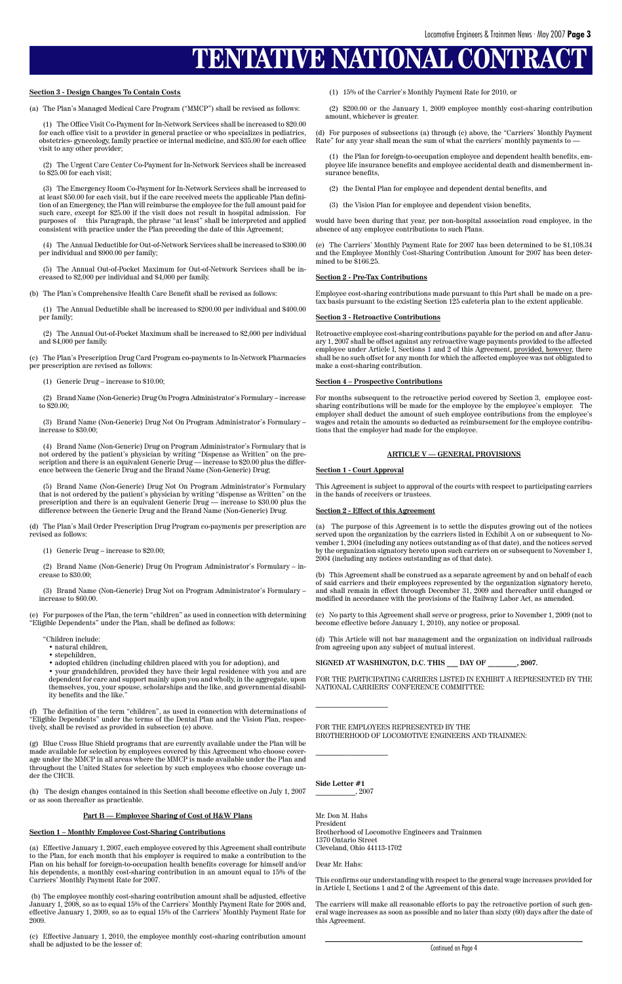# **TENTATIVE NATIONAL CONTRA**

#### **Section 3 - Design Changes To Contain Costs**

(a) The Plan's Managed Medical Care Program ("MMCP") shall be revised as follows:

(1) The Office Visit Co-Payment for In-Network Services shall be increased to \$20.00 for each office visit to a provider in general practice or who specializes in pediatrics, obstetrics- gynecology, family practice or internal medicine, and \$35.00 for each office visit to any other provider;

(2) The Urgent Care Center Co-Payment for In-Network Services shall be increased to \$25.00 for each visit;

(3) The Emergency Room Co-Payment for In-Network Services shall be increased to at least \$50.00 for each visit, but if the care received meets the applicable Plan definition of an Emergency, the Plan will reimburse the employee for the full amount paid for such care, except for \$25.00 if the visit does not result in hospital admission. For purposes of this Paragraph, the phrase "at least" shall be interpreted and applied consistent with practice under the Plan preceding the date of this Agreement;

(4) The Annual Deductible for Out-of-Network Services shall be increased to \$300.00 per individual and \$900.00 per family;

(5) The Annual Out-of-Pocket Maximum for Out-of-Network Services shall be increased to \$2,000 per individual and \$4,000 per family.

(b) The Plan's Comprehensive Health Care Benefit shall be revised as follows:

(1) The Annual Deductible shall be increased to \$200.00 per individual and \$400.00 per family;

(2) The Annual Out-of-Pocket Maximum shall be increased to \$2,000 per individual and \$4,000 per family.

(c) The Plan's Prescription Drug Card Program co-payments to In-Network Pharmacies per prescription are revised as follows:

(1) Generic Drug – increase to \$10.00;

(2) Brand Name (Non-Generic) Drug On Progra Administrator's Formulary – increase to \$20.00;

(3) Brand Name (Non-Generic) Drug Not On Program Administrator's Formulary – increase to \$30.00;

(4) Brand Name (Non-Generic) Drug on Program Administrator's Formulary that is not ordered by the patient's physician by writing "Dispense as Written" on the prescription and there is an equivalent Generic Drug — increase to \$20.00 plus the difference between the Generic Drug and the Brand Name (Non-Generic) Drug;

(5) Brand Name (Non-Generic) Drug Not On Program Administrator's Formulary that is not ordered by the patient's physician by writing "dispense as Written" on the prescription and there is an equivalent Generic Drug — increase to \$30.00 plus the difference between the Generic Drug and the Brand Name (Non-Generic) Drug.

(d) The Plan's Mail Order Prescription Drug Program co-payments per prescription are revised as follows:

(1) Generic Drug – increase to \$20.00;

(2) Brand Name (Non-Generic) Drug On Program Administrator's Formulary – increase to \$30.00;

(3) Brand Name (Non-Generic) Drug Not on Program Administrator's Formulary – increase to \$60.00.

(e) For purposes of the Plan, the term "children" as used in connection with determining "Eligible Dependents" under the Plan, shall be defined as follows:

"Children include:

- natural children,
- stepchildren,

• adopted children (including children placed with you for adoption), and

• your grandchildren, provided they have their legal residence with you and are dependent for care and support mainly upon you and wholly, in the aggregate, upon themselves, you, your spouse, scholarships and the like, and governmental disability benefits and the like."

(f) The definition of the term "children", as used in connection with determinations of "Eligible Dependents" under the terms of the Dental Plan and the Vision Plan, respec-

tively, shall be revised as provided in subsection (e) above.

(g) Blue Cross Blue Shield programs that are currently available under the Plan will be made available for selection by employees covered by this Agreement who choose coverage under the MMCP in all areas where the MMCP is made available under the Plan and throughout the United States for selection by such employees who choose coverage under the CHCB.

(h) The design changes contained in this Section shall become effective on July 1, 2007 or as soon thereafter as practicable.

#### **Part B — Employee Sharing of Cost of H&W Plans**

#### **Section 1 – Monthly Employee Cost-Sharing Contributions**

(a) Effective January 1, 2007, each employee covered by this Agreement shall contribute to the Plan, for each month that his employer is required to make a contribution to the Plan on his behalf for foreign-to-occupation health benefits coverage for himself and/or his dependents, a monthly cost-sharing contribution in an amount equal to 15% of the Carriers' Monthly Payment Rate for 2007.

 (b) The employee monthly cost-sharing contribution amount shall be adjusted, effective January 1, 2008, so as to equal 15% of the Carriers' Monthly Payment Rate for 2008 and, effective January 1, 2009, so as to equal 15% of the Carriers' Monthly Payment Rate for 2009.

(c) Effective January 1, 2010, the employee monthly cost-sharing contribution amount shall be adjusted to be the lesser of:

(1) 15% of the Carrier's Monthly Payment Rate for 2010, or

(2) \$200.00 or the January 1, 2009 employee monthly cost-sharing contribution amount, whichever is greater.

(d) For purposes of subsections (a) through (c) above, the "Carriers' Monthly Payment Rate" for any year shall mean the sum of what the carriers' monthly payments to —

(1) the Plan for foreign-to-occupation employee and dependent health benefits, employee life insurance benefits and employee accidental death and dismemberment insurance benefits,

- (2) the Dental Plan for employee and dependent dental benefits, and
- (3) the Vision Plan for employee and dependent vision benefits,

would have been during that year, per non-hospital association road employee, in the absence of any employee contributions to such Plans.

(e) The Carriers' Monthly Payment Rate for 2007 has been determined to be \$1,108.34 and the Employee Monthly Cost-Sharing Contribution Amount for 2007 has been determined to be \$166.25.

#### **Section 2 - Pre-Tax Contributions**

Employee cost-sharing contributions made pursuant to this Part shall be made on a pretax basis pursuant to the existing Section 125 cafeteria plan to the extent applicable.

#### **Section 3 - Retroactive Contributions**

Retroactive employee cost-sharing contributions payable for the period on and after January 1, 2007 shall be offset against any retroactive wage payments provided to the affected employee under Article I, Sections 1 and 2 of this Agreement, provided, however, there shall be no such offset for any month for which the affected employee was not obligated to make a cost-sharing contribution.

#### **Section 4 – Prospective Contributions**

For months subsequent to the retroactive period covered by Section 3, employee costsharing contributions will be made for the employee by the employee's employer. The employer shall deduct the amount of such employee contributions from the employee's wages and retain the amounts so deducted as reimbursement for the employee contributions that the employer had made for the employee.

#### **ARTICLE V — GENERAL PROVISIONS**

#### **Section 1 - Court Approval**

This Agreement is subject to approval of the courts with respect to participating carriers in the hands of receivers or trustees.

#### **Section 2 - Effect of this Agreement**

(a) The purpose of this Agreement is to settle the disputes growing out of the notices served upon the organization by the carriers listed in Exhibit A on or subsequent to November 1, 2004 (including any notices outstanding as of that date), and the notices served by the organization signatory hereto upon such carriers on or subsequent to November 1, 2004 (including any notices outstanding as of that date).

(b) This Agreement shall be construed as a separate agreement by and on behalf of each of said carriers and their employees represented by the organization signatory hereto, and shall remain in effect through December 31, 2009 and thereafter until changed or modified in accordance with the provisions of the Railway Labor Act, as amended.

(c) No party to this Agreement shall serve or progress, prior to November 1, 2009 (not to become effective before January 1, 2010), any notice or proposal.

(d) This Article will not bar management and the organization on individual railroads from agreeing upon any subject of mutual interest.

**SIGNED AT WASHINGTON, D.C. THIS \_\_\_ DAY OF \_\_\_\_\_\_\_\_, 2007.**

FOR THE PARTICIPATING CARRIERS LISTED IN EXHIBIT A REPRESENTED BY THE NATIONAL CARRIERS' CONFERENCE COMMITTEE:

#### FOR THE EMPLOYEES REPRESENTED BY THE BROTHERHOOD OF LOCOMOTIVE ENGINEERS AND TRAINMEN:

**Side Letter #1** \_\_\_\_\_\_\_\_\_\_\_, 2007

 $\overline{\phantom{a}}$  , which is a set of the set of the set of the set of the set of the set of the set of the set of the set of the set of the set of the set of the set of the set of the set of the set of the set of the set of th

 $\overline{\phantom{a}}$  , which is a set of the set of the set of the set of the set of the set of the set of the set of the set of the set of the set of the set of the set of the set of the set of the set of the set of the set of th

Mr. Don M. Hahs President Brotherhood of Locomotive Engineers and Trainmen 1370 Ontario Street Cleveland, Ohio 44113-1702

Dear Mr. Hahs:

This confirms our understanding with respect to the general wage increases provided for in Article I, Sections 1 and 2 of the Agreement of this date.

The carriers will make all reasonable efforts to pay the retroactive portion of such general wage increases as soon as possible and no later than sixty (60) days after the date of this Agreement.

Continued on Page 4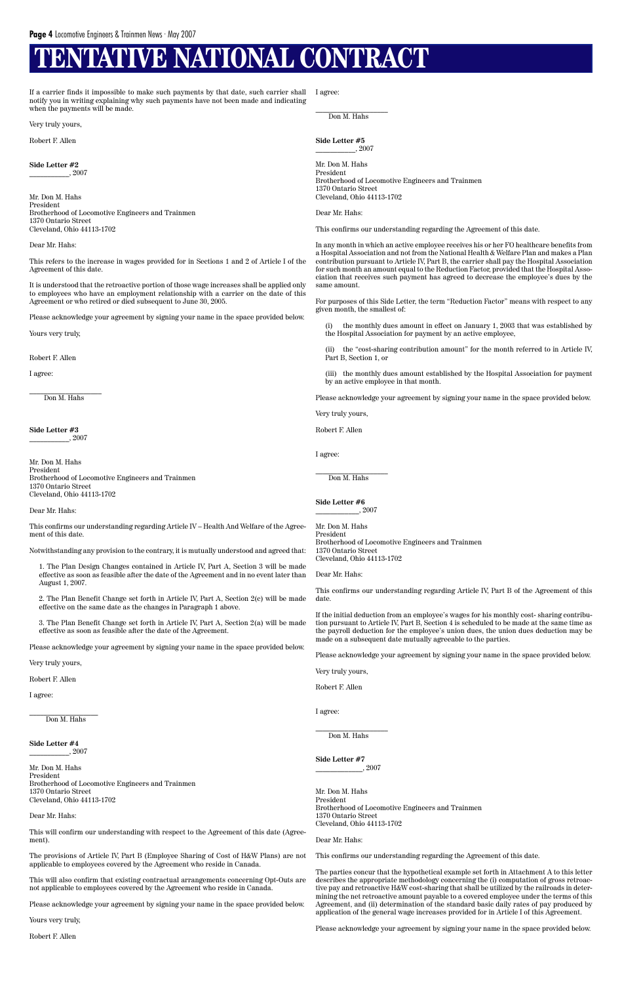# **VE NATIONAL CONTRACT**

**Side Letter #2**  $, 2007$ 

If a carrier finds it impossible to make such payments by that date, such carrier shall notify you in writing explaining why such payments have not been made and indicating when the payments will be made.

Very truly yours,

Robert F. Allen

Mr. Don M. Hahs President Brotherhood of Locomotive Engineers and Trainmen 1370 Ontario Street Cleveland, Ohio 44113-1702

Dear Mr. Hahs:

 $\overline{\phantom{a}}$  , where the contract of the contract of the contract of the contract of the contract of the contract of the contract of the contract of the contract of the contract of the contract of the contract of the contr Don M. Hahs

**Side Letter #3**  $, 2007$ 

This refers to the increase in wages provided for in Sections 1 and 2 of Article I of the Agreement of this date.

It is understood that the retroactive portion of those wage increases shall be applied only to employees who have an employment relationship with a carrier on the date of this Agreement or who retired or died subsequent to June 30, 2005.

Please acknowledge your agreement by signing your name in the space provided below.

Yours very truly,

Robert F. Allen

I agree:

#### **Side Letter #4**  $, 2007$

Mr. Don M. Hahs President Brotherhood of Locomotive Engineers and Trainmen 1370 Ontario Street Cleveland, Ohio 44113-1702

This will confirm our understanding with respect to the Agreement of this date (Agreement).

Dear Mr. Hahs:

This confirms our understanding regarding Article IV – Health And Welfare of the Agreement of this date.

Notwithstanding any provision to the contrary, it is mutually understood and agreed that:

 $\overline{\phantom{a}}$  , which is a set of the set of the set of the set of the set of the set of the set of the set of the set of the set of the set of the set of the set of the set of the set of the set of the set of the set of th Don M. Hahs

**Side Letter #5**  $, 2007$ 

1. The Plan Design Changes contained in Article IV, Part A, Section 3 will be made effective as soon as feasible after the date of the Agreement and in no event later than August 1, 2007.

2. The Plan Benefit Change set forth in Article IV, Part A, Section 2(c) will be made effective on the same date as the changes in Paragraph 1 above.

3. The Plan Benefit Change set forth in Article IV, Part A, Section 2(a) will be made effective as soon as feasible after the date of the Agreement.

the monthly dues amount in effect on January 1, 2003 that was established by the Hospital Association for payment by an active employee,

Please acknowledge your agreement by signing your name in the space provided below.

Very truly yours,

Robert F. Allen

I agree:

\_\_\_\_\_\_\_\_\_\_\_\_\_\_\_\_\_\_\_ Don M. Hahs

 $\overline{\phantom{a}}$  , where  $\overline{\phantom{a}}$  , where  $\overline{\phantom{a}}$ Don M. Hahs

**Side Letter #6**  $, 2007$ 

Mr. Don M. Hahs President Brotherhood of Locomotive Engineers and Trainmen 1370 Ontario Street Cleveland, Ohio 44113-1702

Dear Mr. Hahs:

The provisions of Article IV, Part B (Employee Sharing of Cost of H&W Plans) are not applicable to employees covered by the Agreement who reside in Canada.

 $\overline{\phantom{a}}$  , which is a set of the set of the set of the set of the set of the set of the set of the set of the set of the set of the set of the set of the set of the set of the set of the set of the set of the set of th Don M. Hahs

This will also confirm that existing contractual arrangements concerning Opt-Outs are not applicable to employees covered by the Agreement who reside in Canada.

Please acknowledge your agreement by signing your name in the space provided below.

Yours very truly,

Robert F. Allen

I agree:

Mr. Don M. Hahs President Brotherhood of Locomotive Engineers and Trainmen 1370 Ontario Street Cleveland, Ohio 44113-1702

Dear Mr. Hahs:

This confirms our understanding regarding the Agreement of this date.

In any month in which an active employee receives his or her FO healthcare benefits from a Hospital Association and not from the National Health & Welfare Plan and makes a Plan contribution pursuant to Article IV, Part B, the carrier shall pay the Hospital Association for such month an amount equal to the Reduction Factor, provided that the Hospital Association that receives such payment has agreed to decrease the employee's dues by the same amount.

For purposes of this Side Letter, the term "Reduction Factor" means with respect to any given month, the smallest of:

(ii) the "cost-sharing contribution amount" for the month referred to in Article IV, Part B, Section 1, or

(iii) the monthly dues amount established by the Hospital Association for payment by an active employee in that month.

Please acknowledge your agreement by signing your name in the space provided below.

Very truly yours,

Robert F. Allen

I agree:

Mr. Don M. Hahs President Brotherhood of Locomotive Engineers and Trainmen 1370 Ontario Street Cleveland, Ohio 44113-1702

Dear Mr. Hahs:

This confirms our understanding regarding Article IV, Part B of the Agreement of this date.

If the initial deduction from an employee's wages for his monthly cost- sharing contribution pursuant to Article IV, Part B, Section 4 is scheduled to be made at the same time as the payroll deduction for the employee's union dues, the union dues deduction may be made on a subsequent date mutually agreeable to the parties.

Please acknowledge your agreement by signing your name in the space provided below.

Very truly yours,

Robert F. Allen

I agree:

**Side Letter #7** \_\_\_\_\_\_\_\_\_\_\_\_\_, 2007

Mr. Don M. Hahs President Brotherhood of Locomotive Engineers and Trainmen 1370 Ontario Street Cleveland, Ohio 44113-1702

#### Dear Mr. Hahs:

This confirms our understanding regarding the Agreement of this date.

The parties concur that the hypothetical example set forth in Attachment A to this letter describes the appropriate methodology concerning the (i) computation of gross retroactive pay and retroactive H&W cost-sharing that shall be utilized by the railroads in determining the net retroactive amount payable to a covered employee under the terms of this Agreement, and (ii) determination of the standard basic daily rates of pay produced by application of the general wage increases provided for in Article I of this Agreement.

Please acknowledge your agreement by signing your name in the space provided below.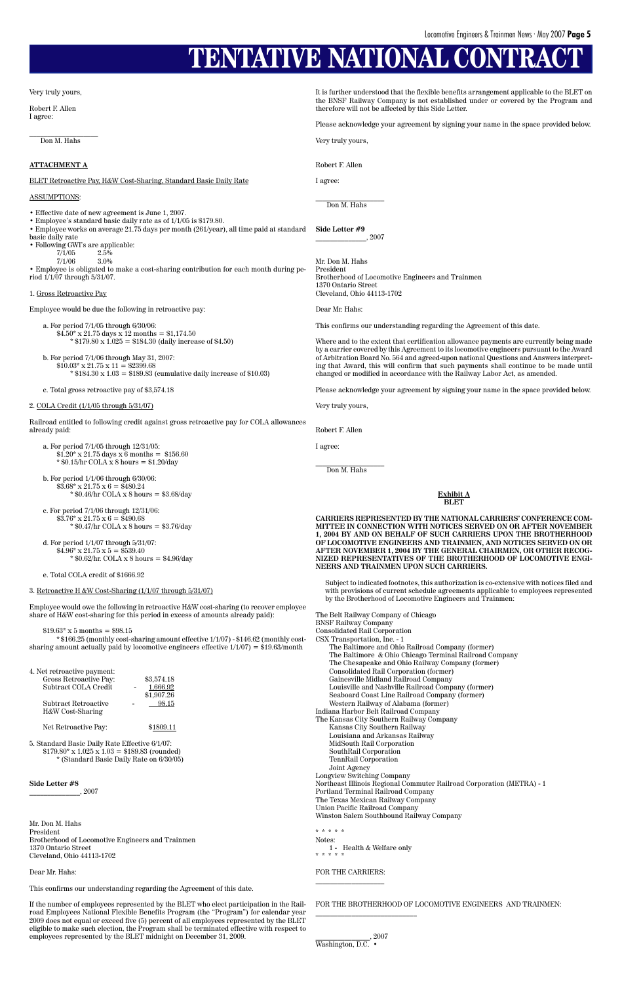# **TENTATIVE NATIONAL CONTR**

Very truly yours,

Robert F. Allen I agree:

\_\_\_\_\_\_\_\_\_\_\_\_\_\_\_\_\_\_\_ Don M. Hahs

- Employee's standard basic daily rate as of 1/1/05 is \$179.80.
- Employee works on average 21.75 days per month (261/year), all time paid at standard basic daily rate
- Following GWI's are applicable:<br> $7/1/05$  2.5%
	- $\frac{7}{1}/05$  2.5%<br>  $\frac{7}{1}/06$  3.0%
	- $7/1/06$

#### **ATTACHMENT A**

BLET Retroactive Pay, H&W Cost-Sharing, Standard Basic Daily Rate

#### ASSUMPTIONS:

• Effective date of new agreement is June 1, 2007.

a. For period 7/1/05 through 6/30/06:  $$4.50^{\circ} \times 21.75$  days  $\times 12$  months = \$1,174.50  $*$  \$179.80 x 1.025 = \$184.30 (daily increase of \$4.50)

• Employee is obligated to make a cost-sharing contribution for each month during period 1/1/07 through 5/31/07.

#### 1. Gross Retroactive Pay

Employee would be due the following in retroactive pay:

- b. For period 7/1/06 through May 31, 2007:  $$10.03$ <sup>\*</sup> x 21.75 x 11 = \$2399.68  $* $184.30 \times 1.03 = $189.83$  (cumulative daily increase of \$10.03)
- c. Total gross retroactive pay of \$3,574.18

#### 2. COLA Credit (1/1/05 through 5/31/07)

Railroad entitled to following credit against gross retroactive pay for COLA allowances already paid:

- a. For period 7/1/05 through 12/31/05:  $$1.20^{\ast} \times 21.75 \text{ days} \times 6 \text{ months} = $156.60$ \* \$0.15/hr COLA x 8 hours = \$1.20/day
- b. For period 1/1/06 through 6/30/06:  $$3.68* \times 21.75 \times 6 = $480.24$  $*$  \$0.46/hr COLA x 8 hours = \$3.68/day
- c. For period 7/1/06 through 12/31/06:  $$3.76$ \* x 21.75 x 6 =  $$490.68$ \* \$0.47/hr COLA x 8 hours = \$3.76/day

d. For period 1/1/07 through 5/31/07:  $$4.96* \times 21.75 \times 5 = $539.40$ \* \$0.62/hr. COLA x 8 hours = \$4.96/day

e. Total COLA credit of \$1666.92

#### 3. Retroactive H &W Cost-Sharing (1/1/07 through 5/31/07)

 $\_$ Don M. Hahs

Employee would owe the following in retroactive H&W cost-sharing (to recover employee share of H&W cost-sharing for this period in excess of amounts already paid):

 $$19.63$ <sup>\*</sup> x 5 months = \$98.15

\* \$166.25 (monthly cost-sharing amount effective 1/1/07) - \$146.62 (monthly costsharing amount actually paid by locomotive engineers effective 1/1/07) = \$19.63/month

> \$3,574.18 1,666.92 \$1,907.26  $98.15$

| 4. Net retroactive payment: |  |
|-----------------------------|--|
| Gross Retroactive Pay:      |  |
| Subtract COLA Credit        |  |
|                             |  |

 $\_$ Don M. Hahs

| Subtract Retroactive |
|----------------------|
| H&W Cost-Sharing     |

5. Standard Basic Daily Rate Effective 6/1/07:  $$179.80^{\circ} \times 1.025 \times 1.03 = $189.83$  (rounded) \* (Standard Basic Daily Rate on 6/30/05)

#### **Side Letter #8**

 $_{-}$ , 2007

Mr. Don M. Hahs President Brotherhood of Locomotive Engineers and Trainmen 1370 Ontario Street Cleveland, Ohio 44113-1702

Dear Mr. Hahs:

This confirms our understanding regarding the Agreement of this date.

If the number of employees represented by the BLET who elect participation in the Railroad Employees National Flexible Benefits Program (the "Program") for calendar year 2009 does not equal or exceed five (5) percent of all employees represented by the BLET eligible to make such election, the Program shall be terminated effective with respect to employees represented by the BLET midnight on December 31, 2009.

It is further understood that the flexible benefits arrangement applicable to the BLET on the BNSF Railway Company is not established under or covered by the Program and therefore will not be affected by this Side Letter.

Please acknowledge your agreement by signing your name in the space provided below.

Very truly yours,

Robert F. Allen

I agree:

**Side Letter #9** \_\_\_\_\_\_\_\_\_\_\_\_\_\_, 2007

Mr. Don M. Hahs President Brotherhood of Locomotive Engineers and Trainmen 1370 Ontario Street Cleveland, Ohio 44113-1702

Dear Mr. Hahs:

This confirms our understanding regarding the Agreement of this date.

Where and to the extent that certification allowance payments are currently being made by a carrier covered by this Agreement to its locomotive engineers pursuant to the Award of Arbitration Board No. 564 and agreed-upon national Questions and Answers interpreting that Award, this will confirm that such payments shall continue to be made until changed or modified in accordance with the Railway Labor Act, as amended.

Please acknowledge your agreement by signing your name in the space provided below.

Very truly yours,

Robert F. Allen

I agree:

#### **Exhibit A BLET**

**CARRIERS REPRESENTED BY THE NATIONAL CARRIERS' CONFERENCE COM-MITTEE IN CONNECTION WITH NOTICES SERVED ON OR AFTER NOVEMBER 1, 2004 BY AND ON BEHALF OF SUCH CARRIERS UPON THE BROTHERHOOD OF LOCOMOTIVE ENGINEERS AND TRAINMEN, AND NOTICES SERVED ON OR AFTER NOVEMBER 1, 2004 BY THE GENERAL CHAIRMEN, OR OTHER RECOG-NIZED REPRESENTATIVES OF THE BROTHERHOOD OF LOCOMOTIVE ENGI-NEERS AND TRAINMEN UPON SUCH CARRIERS.**

Subject to indicated footnotes, this authorization is co-extensive with notices filed and with provisions of current schedule agreements applicable to employees represented by the Brotherhood of Locomotive Engineers and Trainmen:

The Belt Railway Company of Chicago BNSF Railway Company Consolidated Rail Corporation CSX Transportation, Inc. - 1 The Baltimore and Ohio Railroad Company (former) The Baltimore & Ohio Chicago Terminal Railroad Company The Chesapeake and Ohio Railway Company (former) Consolidated Rail Corporation (former) Gainesville Midland Railroad Company Louisville and Nashville Railroad Company (former) Seaboard Coast Line Railroad Company (former) Western Railway of Alabama (former)

- Indiana Harbor Belt Railroad Company
- The Kansas City Southern Railway Company

Net Retroactive Pay: \$1809.11

Kansas City Southern Railway Louisiana and Arkansas Railway MidSouth Rail Corporation SouthRail Corporation TennRail Corporation Joint Agency Longview Switching Company Northeast Illinois Regional Commuter Railroad Corporation (METRA) - 1 Portland Terminal Railroad Company The Texas Mexican Railway Company Union Pacific Railroad Company Winston Salem Southbound Railway Company

#### \* \* \* \* \*

Notes: 1 - Health & Welfare only \* \* \* \* \*

#### FOR THE CARRIERS: \_\_\_\_\_\_\_\_\_\_\_\_\_\_\_\_\_\_\_

FOR THE BROTHERHOOD OF LOCOMOTIVE ENGINEERS AND TRAINMEN:

\_\_\_\_\_\_\_\_\_\_\_\_\_\_\_\_\_\_\_\_\_\_\_\_\_\_\_\_

\_\_\_\_\_\_\_\_\_\_\_\_\_\_\_, 2007 Washington, D.C. •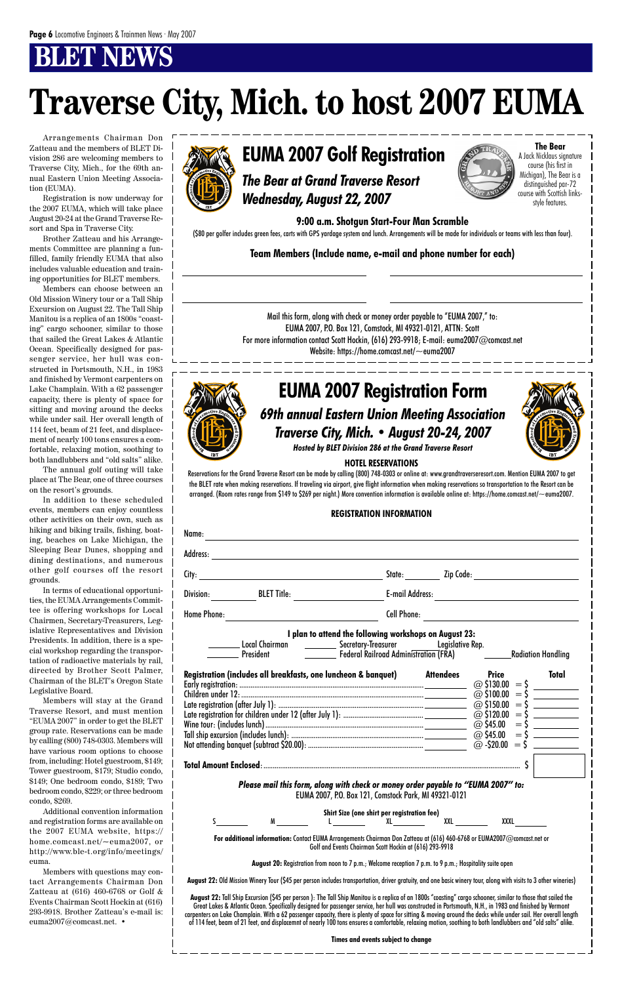# **BLWS**

*Traverse City, Mich. • August 20-24, 2007*

## *69th annual Eastern Union Meeting Association* **EUMA 2007 Registration Form**



*Hosted by BLET Division 286 at the Grand Traverse Resort*

#### **HOTEL RESERVATIONS**

Reservations for the Grand Traverse Resort can be made by calling (800) 748-0303 or online at: www.grandtraverseresort.com. Mention EUMA 2007 to get the BLET rate when making reservations. If traveling via airport, give flight information when making reservations so transportation to the Resort can be arranged. (Room rates range from \$149 to \$269 per night.) More convention information is available online at: https://home.comcast.net/~euma2007.

#### **REGISTRATION INFORMATION**

| Name:                                                                                                                                                                                                                                                  |                                                                |  |                        |                                        |              |  |
|--------------------------------------------------------------------------------------------------------------------------------------------------------------------------------------------------------------------------------------------------------|----------------------------------------------------------------|--|------------------------|----------------------------------------|--------------|--|
| Address:                                                                                                                                                                                                                                               |                                                                |  |                        |                                        |              |  |
| City: $\overline{\phantom{a}}$                                                                                                                                                                                                                         |                                                                |  | State: Zip Code:       |                                        |              |  |
| Division:                                                                                                                                                                                                                                              | <b>BLET Title:</b>                                             |  | <b>E-mail Address:</b> |                                        |              |  |
| Home Phone:                                                                                                                                                                                                                                            |                                                                |  | <b>Cell Phone:</b>     |                                        |              |  |
| I plan to attend the following workshops on August 23:<br>___ Local Chairman ____________ Secretary-Treasurer ________ Legislative Rep.<br>__________ President      ____________ Federal Railroad Administration (FRA)     ________Radiation Handling |                                                                |  |                        |                                        |              |  |
|                                                                                                                                                                                                                                                        | Registration (includes all breakfasts, one luncheon & banquet) |  | <b>Attendees</b>       | <b>Price</b><br>$\omega$ \$130.00 = \$ | <b>Total</b> |  |
|                                                                                                                                                                                                                                                        |                                                                |  |                        |                                        |              |  |
|                                                                                                                                                                                                                                                        |                                                                |  |                        |                                        |              |  |
|                                                                                                                                                                                                                                                        |                                                                |  |                        |                                        |              |  |

Wine tour: (includes lunch) .....................................................................................\$15.00/person @ \$45.00 = \$ Tall ship excursion (includes lunch): .......................................................................\$20.00/person @ \$45.00 = \$ Not attending banquet (subtract \$20.00): ..............................................................\$45.00/person @ -\$20.00 = \$ **Total Amount Enclosed**:.......................................................................................................................................... \$ *Please mail this form, along with check or money order payable to "EUMA 2007" to:* EUMA 2007, P.O. Box 121, Comstock Park, MI 49321-0121 **Shirt Size (one shirt per registration fee)** S M L XL XXL XXXL **For additional information:** Contact EUMA Arrangements Chairman Don Zatteau at (616) 460-6768 or EUMA2007@comcast.net or Golf and Events Chairman Scott Hockin at (616) 293-9918  **August 20:** Registration from noon to 7 p.m.; Welcome reception 7 p.m. to 9 p.m.; Hospitality suite open **August 22:** Old Mission Winery Tour (\$45 per person includes transportation, driver gratuity, and one basic winery tour, along with visits to 3 other wineries) **August 22:** Tall Ship Excursion (\$45 per person ): The Tall Ship Manitou is a replica of an 1800s "coasting" cargo schooner, similar to those that sailed the Great Lakes & Atlantic Ocean. Specifically designed for passenger service, her hull was constructed in Portsmouth, N.H., in 1983 and finished by Vermont carpenters on Lake Champlain. With a 62 passenger capacity, there is plenty of space for sitting & moving around the decks while under sail. Her overall length of 114 feet, beam of 21 feet, and displacemnt of nearly 100 tons ensures a comfortable, relaxing motion, soothing to both landlubbers and "old salts" alike. **Times and events subject to change**

Arrangements Chairman Don Zatteau and the members of BLET Division 286 are welcoming members to Traverse City, Mich., for the 69th annual Eastern Union Meeting Association (EUMA).

Registration is now underway for the 2007 EUMA, which will take place August 20-24 at the Grand Traverse Resort and Spa in Traverse City.

Brother Zatteau and his Arrangements Committee are planning a funfilled, family friendly EUMA that also includes valuable education and training opportunities for BLET members.

Members can choose between an Old Mission Winery tour or a Tall Ship Excursion on August 22. The Tall Ship Manitou is a replica of an 1800s "coasting" cargo schooner, similar to those that sailed the Great Lakes & Atlantic Ocean. Specifically designed for passenger service, her hull was constructed in Portsmouth, N.H., in 1983 and finished by Vermont carpenters on Lake Champlain. With a 62 passenger capacity, there is plenty of space for sitting and moving around the decks while under sail. Her overall length of 114 feet, beam of 21 feet, and displacement of nearly 100 tons ensures a comfortable, relaxing motion, soothing to both landlubbers and "old salts" alike.

The annual golf outing will take place at The Bear, one of three courses on the resort's grounds.

In addition to these scheduled events, members can enjoy countless other activities on their own, such as hiking and biking trails, fishing, boating, beaches on Lake Michigan, the Sleeping Bear Dunes, shopping and dining destinations, and numerous other golf courses off the resort grounds.

In terms of educational opportunities, the EUMA Arrangements Committee is offering workshops for Local Chairmen, Secretary-Treasurers, Legislative Representatives and Division Presidents. In addition, there is a special workshop regarding the transportation of radioactive materials by rail, directed by Brother Scott Palmer, Chairman of the BLET's Oregon State Legislative Board.

Members will stay at the Grand Traverse Resort, and must mention "EUMA 2007" in order to get the BLET group rate. Reservations can be made by calling (800) 748-0303. Members will have various room options to choose from, including: Hotel guestroom, \$149; Tower guestroom, \$179; Studio condo, \$149; One bedroom condo, \$189; Two bedroom condo, \$229; or three bedroom condo, \$269. Additional convention information and registration forms are available on the 2007 EUMA website, https:// home.comcast.net/~euma2007, or http://www.ble-t.org/info/meetings/ euma. Members with questions may contact Arrangements Chairman Don Zatteau at (616) 460-6768 or Golf & Events Chairman Scott Hockin at (616) 293-9918. Brother Zatteau's e-mail is: euma2007@comcast.net. •



# **Traverse City, Mich. to host 2007 EUMA**

# **EUMA 2007 Golf Registration**

*The Bear at Grand Traverse Resort Wednesday, August 22, 2007*

**9:00 a.m. Shotgun Start-Four Man Scramble**

(\$80 per golfer includes green fees, carts with GPS yardage system and lunch. Arrangements will be made for individuals or teams with less than four).

**The Bear** A Jack Nicklaus signature course (his first in Michigan), The Bear is a distinguished par-72 course with Scottish linksstyle features.

#### **Team Members (Include name, e-mail and phone number for each)**

Mail this form, along with check or money order payable to "EUMA 2007," to: EUMA 2007, P.O. Box 121, Comstock, MI 49321-0121, ATTN: Scott For more information contact Scott Hockin, (616) 293-9918; E-mail: euma2007@comcast.net Website: https://home.comcast.net/~euma2007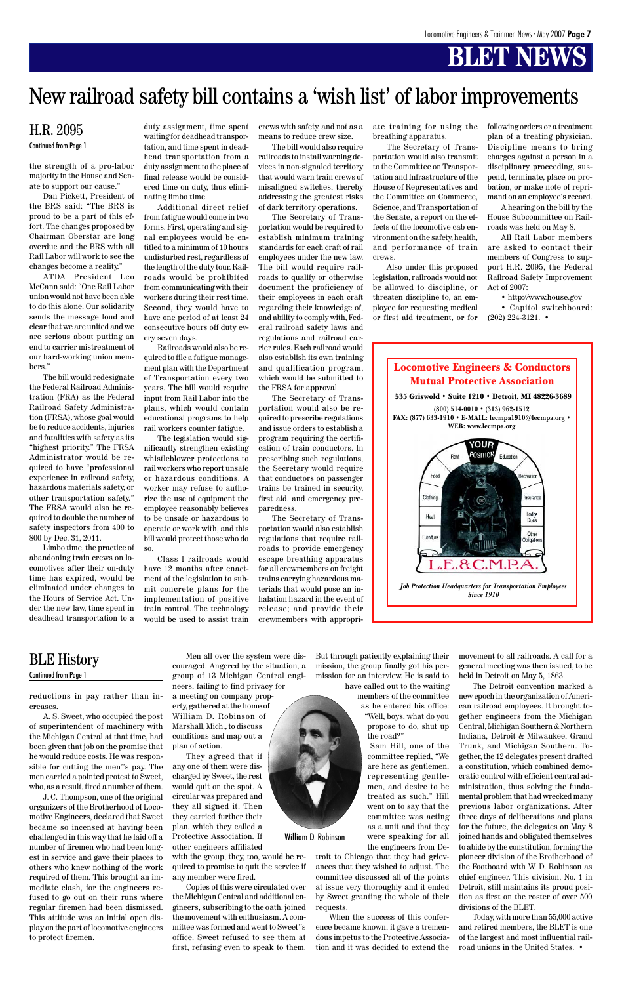# **BLET NEWS**



the strength of a pro-labor majority in the House and Senate to support our cause."

Dan Pickett, President of the BRS said: "The BRS is proud to be a part of this effort. The changes proposed by Chairman Oberstar are long overdue and the BRS with all Rail Labor will work to see the changes become a reality."

ATDA President Leo McCann said: "One Rail Labor union would not have been able to do this alone. Our solidarity sends the message loud and clear that we are united and we are serious about putting an end to carrier mistreatment of our hard-working union members."

The bill would redesignate the Federal Railroad Administration (FRA) as the Federal Railroad Safety Administration (FRSA), whose goal would be to reduce accidents, injuries and fatalities with safety as its "highest priority." The FRSA Administrator would be required to have "professional experience in railroad safety, hazardous materials safety, or other transportation safety." The FRSA would also be required to double the number of safety inspectors from 400 to 800 by Dec. 31, 2011.

Limbo time, the practice of abandoning train crews on locomotives after their on-duty time has expired, would be eliminated under changes to the Hours of Service Act. Under the new law, time spent in deadhead transportation to a

duty assignment, time spent

waiting for deadhead transportation, and time spent in deadhead transportation from a duty assignment to the place of final release would be considered time on duty, thus eliminating limbo time.

Additional direct relief from fatigue would come in two forms. First, operating and signal employees would be entitled to a minimum of 10 hours undisturbed rest, regardless of the length of the duty tour. Railroads would be prohibited from communicating with their workers during their rest time. Second, they would have to have one period of at least 24 consecutive hours off duty every seven days.

Railroads would also be required to file a fatigue management plan with the Department of Transportation every two years. The bill would require input from Rail Labor into the plans, which would contain educational programs to help rail workers counter fatigue.

The legislation would significantly strengthen existing whistleblower protections to rail workers who report unsafe or hazardous conditions. A worker may refuse to authorize the use of equipment the employee reasonably believes to be unsafe or hazardous to operate or work with, and this bill would protect those who do so.

Class I railroads would have 12 months after enactment of the legislation to submit concrete plans for the implementation of positive train control. The technology would be used to assist train crews with safety, and not as a means to reduce crew size.

The bill would also require railroads to install warning devices in non-signaled territory that would warn train crews of misaligned switches, thereby addressing the greatest risks of dark territory operations.

The Secretary of Transportation would be required to establish minimum training standards for each craft of rail employees under the new law. The bill would require railroads to qualify or otherwise document the proficiency of their employees in each craft regarding their knowledge of, and ability to comply with, Federal railroad safety laws and regulations and railroad carrier rules. Each railroad would also establish its own training and qualification program, which would be submitted to the FRSA for approval.

The Secretary of Transportation would also be required to prescribe regulations and issue orders to establish a program requiring the certification of train conductors. In prescribing such regulations, the Secretary would require that conductors on passenger trains be trained in security, first aid, and emergency preparedness.

The Secretary of Transportation would also establish regulations that require railroads to provide emergency escape breathing apparatus for all crewmembers on freight trains carrying hazardous materials that would pose an inhalation hazard in the event of release; and provide their crewmembers with appropriate training for using the breathing apparatus.

The Secretary of Transportation would also transmit to the Committee on Transportation and Infrastructure of the House of Representatives and the Committee on Commerce, Science, and Transportation of the Senate, a report on the effects of the locomotive cab environment on the safety, health, and performance of train crews.

Also under this proposed legislation, railroads would not be allowed to discipline, or threaten discipline to, an employee for requesting medical or first aid treatment, or for

#### H.R. 2095 Continued from Page 1

following orders or a treatment plan of a treating physician. Discipline means to bring charges against a person in a disciplinary proceeding, suspend, terminate, place on probation, or make note of reprimand on an employee's record.

A hearing on the bill by the House Subcommittee on Railroads was held on May 8.

All Rail Labor members are asked to contact their members of Congress to support H.R. 2095, the Federal Railroad Safety Improvement Act of 2007:

• http://www.house.gov

• Capitol switchboard: (202) 224-3121. •

## New railroad safety bill contains a 'wish list' of labor improvements

reductions in pay rather than increases.

A. S. Sweet, who occupied the post

of superintendent of machinery with the Michigan Central at that time, had been given that job on the promise that he would reduce costs. He was responsible for cutting the men''s pay. The men carried a pointed protest to Sweet, who, as a result, fired a number of them.

J. C. Thompson, one of the original organizers of the Brotherhood of Locomotive Engineers, declared that Sweet became so incensed at having been challenged in this way that he laid off a number of firemen who had been longest in service and gave their places to others who knew nothing of the work required of them. This brought an immediate clash, for the engineers refused to go out on their runs where regular firemen had been dismissed. This attitude was an initial open display on the part of locomotive engineers to protect firemen.

Men all over the system were discouraged. Angered by the situation, a group of 13 Michigan Central engineers, failing to find privacy for a meeting on company property, gathered at the home of William D. Robinson of

Marshall, Mich., to discuss conditions and map out a plan of action.

They agreed that if any one of them were discharged by Sweet, the rest would quit on the spot. A circular was prepared and they all signed it. Then they carried further their plan, which they called a Protective Association. If other engineers affiliated

with the group, they, too, would be required to promise to quit the service if any member were fired.

Copies of this were circulated over the Michigan Central and additional engineers, subscribing to the oath, joined the movement with enthusiasm. A committee was formed and went to Sweet''s office. Sweet refused to see them at first, refusing even to speak to them.

But through patiently explaining their mission, the group finally got his permission for an interview. He is said to have called out to the waiting

members of the committee as he entered his office: "Well, boys, what do you

> propose to do, shut up the road?"

Sam Hill, one of the committee replied, "We are here as gentlemen, representing gentlemen, and desire to be treated as such." Hill went on to say that the committee was acting as a unit and that they were speaking for all the engineers from De-

troit to Chicago that they had grievances that they wished to adjust. The committee discussed all of the points at issue very thoroughly and it ended by Sweet granting the whole of their requests.

When the success of this conference became known, it gave a tremendous impetus to the Protective Association and it was decided to extend the



movement to all railroads. A call for a general meeting was then issued, to be held in Detroit on May 5, 1863.

The Detroit convention marked a new epoch in the organization of American railroad employees. It brought together engineers from the Michigan Central, Michigan Southern & Northern Indiana, Detroit & Milwaukee, Grand Trunk, and Michigan Southern. Together, the 12 delegates present drafted a constitution, which combined democratic control with efficient central administration, thus solving the fundamental problem that had wrecked many previous labor organizations. After three days of deliberations and plans for the future, the delegates on May 8 joined hands and obligated themselves to abide by the constitution, forming the pioneer division of the Brotherhood of the Footboard with W. D. Robinson as chief engineer. This division, No. 1 in Detroit, still maintains its proud position as first on the roster of over 500 divisions of the BLET. Today, with more than 55,000 active and retired members, the BLET is one of the largest and most influential railroad unions in the United States. •

### BLE History

Continued from Page 1

William D. Robinson